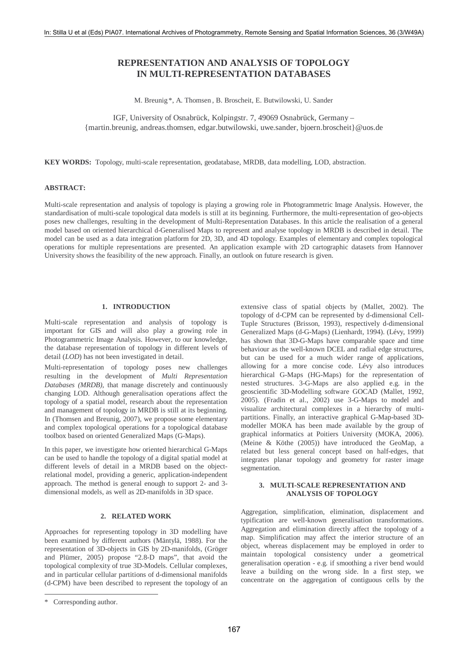# **REPRESENTATION AND ANALYSIS OF TOPOLOGY IN MULTI-REPRESENTATION DATABASES**

M. Breunig \*, A. Thomsen , B. Broscheit, E. Butwilowski, U. Sander

IGF, University of Osnabrück, Kolpingstr. 7, 49069 Osnabrück, Germany – {martin.breunig, andreas.thomsen, edgar.butwilowski, uwe.sander, bjoern.broscheit}@uos.de

**KEY WORDS:** Topology, multi-scale representation, geodatabase, MRDB, data modelling, LOD, abstraction.

#### **ABSTRACT:**

Multi-scale representation and analysis of topology is playing a growing role in Photogrammetric Image Analysis. However, the standardisation of multi-scale topological data models is still at its beginning. Furthermore, the multi-representation of geo-objects poses new challenges, resulting in the development of Multi-Representation Databases. In this article the realisation of a general model based on oriented hierarchical d-Generalised Maps to represent and analyse topology in MRDB is described in detail. The model can be used as a data integration platform for 2D, 3D, and 4D topology. Examples of elementary and complex topological operations for multiple representations are presented. An application example with 2D cartographic datasets from Hannover University shows the feasibility of the new approach. Finally, an outlook on future research is given.

### **1. INTRODUCTION**

Multi-scale representation and analysis of topology is important for GIS and will also play a growing role in Photogrammetric Image Analysis. However, to our knowledge, the database representation of topology in different levels of detail (*LOD*) has not been investigated in detail.

Multi-representation of topology poses new challenges resulting in the development of *Multi Representation Databases (MRDB),* that manage discretely and continuously changing LOD. Although generalisation operations affect the topology of a spatial model, research about the representation and management of topology in MRDB is still at its beginning. In (Thomsen and Breunig, 2007), we propose some elementary and complex topological operations for a topological database toolbox based on oriented Generalized Maps (G-Maps).

In this paper, we investigate how oriented hierarchical G-Maps can be used to handle the topology of a digital spatial model at different levels of detail in a MRDB based on the objectrelational model, providing a generic, application-independent approach. The method is general enough to support 2- and 3 dimensional models, as well as 2D-manifolds in 3D space.

### **2. RELATED WORK**

Approaches for representing topology in 3D modelling have been examined by different authors (Mäntylä, 1988). For the representation of 3D-objects in GIS by 2D-manifolds, (Gröger and Plümer, 2005) propose "2.8-D maps", that avoid the topological complexity of true 3D-Models. Cellular complexes, and in particular cellular partitions of d-dimensional manifolds (d-CPM) have been described to represent the topology of an

 $\overline{a}$ 

extensive class of spatial objects by (Mallet, 2002). The topology of d-CPM can be represented by d-dimensional Cell-Tuple Structures (Brisson, 1993), respectively d-dimensional Generalized Maps (d-G-Maps) (Lienhardt, 1994). (Lévy, 1999) has shown that 3D-G-Maps have comparable space and time behaviour as the well-known DCEL and radial edge structures, but can be used for a much wider range of applications, allowing for a more concise code. Lévy also introduces hierarchical G-Maps (HG-Maps) for the representation of nested structures. 3-G-Maps are also applied e.g. in the geoscientific 3D-Modelling software GOCAD (Mallet, 1992, 2005). (Fradin et al., 2002) use 3-G-Maps to model and visualize architectural complexes in a hierarchy of multipartitions. Finally, an interactive graphical G-Map-based 3Dmodeller MOKA has been made available by the group of graphical informatics at Poitiers University (MOKA, 2006). (Meine & Köthe (2005)) have introduced the GeoMap, a related but less general concept based on half-edges, that integrates planar topology and geometry for raster image segmentation.

## **3. MULTI-SCALE REPRESENTATION AND ANALYSIS OF TOPOLOGY**

Aggregation, simplification, elimination, displacement and typification are well-known generalisation transformations. Aggregation and elimination directly affect the topology of a map. Simplification may affect the interior structure of an object, whereas displacement may be employed in order to maintain topological consistency under a geometrical generalisation operation - e.g. if smoothing a river bend would leave a building on the wrong side. In a first step, we concentrate on the aggregation of contiguous cells by the

<sup>\*</sup> Corresponding author.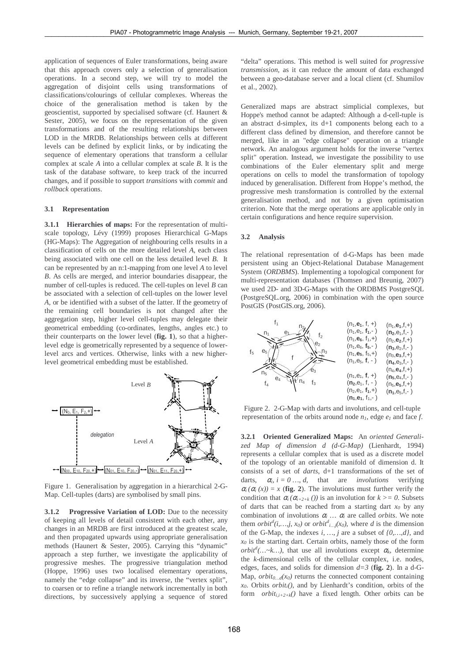application of sequences of Euler transformations, being aware that this approach covers only a selection of generalisation operations. In a second step, we will try to model the aggregation of disjoint cells using transformations of classifications/colourings of cellular complexes. Whereas the choice of the generalisation method is taken by the geoscientist, supported by specialised software (cf. Haunert & Sester, 2005), we focus on the representation of the given transformations and of the resulting relationships between LOD in the MRDB. Relationships between cells at different levels can be defined by explicit links, or by indicating the sequence of elementary operations that transform a cellular complex at scale *A* into a cellular complex at scale *B*. It is the task of the database software, to keep track of the incurred changes, and if possible to support *transitions* with *commit* and *rollback* operations.

#### **3.1 Representation**

**3.1.1 Hierarchies of maps:** For the representation of multiscale topology, Lévy (1999) proposes Hierarchical G-Maps (HG-Maps): The Aggregation of neighbouring cells results in a classification of cells on the more detailed level *A*, each class being associated with one cell on the less detailed level *B*. It can be represented by an n:1-mapping from one level *A* to level *B*. As cells are merged, and interior boundaries disappear, the number of cell-tuples is reduced. The cell-tuples on level *B* can be associated with a selection of cell-tuples on the lower level *A*, or be identified with a subset of the latter. If the geometry of the remaining cell boundaries is not changed after the aggregation step, higher level cell-tuples may delegate their geometrical embedding (co-ordinates, lengths, angles etc.) to their counterparts on the lower level (**fig. 1**), so that a higherlevel edge is geometrically represented by a sequence of lowerlevel arcs and vertices. Otherwise, links with a new higherlevel geometrical embedding must be established.



Figure 1. Generalisation by aggregation in a hierarchical 2-G-Map. Cell-tuples (darts) are symbolised by small pins.

**3.1.2** Progressive Variation of LOD: Due to the necessity of keeping all levels of detail consistent with each other, any changes in an MRDB are first introduced at the greatest scale, and then propagated upwards using appropriate generalisation methods (Haunert & Sester, 2005). Carrying this "dynamic" approach a step further, we investigate the applicability of progressive meshes. The progressive triangulation method (Hoppe, 1996) uses two localised elementary operations, namely the "edge collapse" and its inverse, the "vertex split", to coarsen or to refine a triangle network incrementally in both directions, by successively applying a sequence of stored

"delta" operations. This method is well suited for *progressive transmission*, as it can reduce the amount of data exchanged between a geo-database server and a local client (cf. Shumilov et al., 2002).

Generalized maps are abstract simplicial complexes, but Hoppe's method cannot be adapted: Although a d-cell-tuple is an abstract d-simplex, its d+1 components belong each to a different class defined by dimension, and therefore cannot be merged, like in an "edge collapse" operation on a triangle network. An analogous argument holds for the inverse "vertex split" operation. Instead, we investigate the possibility to use combinations of the Euler elementary split and merge operations on cells to model the transformation of topology induced by generalisation. Different from Hoppe's method, the progressive mesh transformation is controlled by the external generalisation method, and not by a given optimisation criterion. Note that the merge operations are applicable only in certain configurations and hence require supervision.

#### **3.2 Analysis**

The relational representation of d-G-Maps has been made persistent using an Object-Relational Database Management System (*ORDBMS*). Implementing a topological component for multi-representation databases (Thomsen and Breunig, 2007) we used 2D- and 3D-G-Maps with the ORDBMS PostgreSQL (PostgreSQL.org, 2006) in combination with the open source PostGIS (PostGIS.org, 2006).



Figure 2. 2-G-Map with darts and involutions, and cell-tuple representation of the orbits around node  $n_l$ , edge  $e_l$  and face  $f$ .

**3.2.1 Oriented Generalized Maps:** An *oriented Generalized Map of dimension d (d-G-Map)* (Lienhardt, 1994) represents a cellular complex that is used as a discrete model of the topology of an orientable manifold of dimension d. It consists of a set of *darts*, d+1 transformations of the set of darts,  $\alpha_i$ ,  $i = 0, \ldots, d$ , that are *involutions* verifying  $\alpha_i(\alpha_i(x)) = x$  (**fig. 2**). The involutions must further verify the condition that  $\alpha_i$  ( $\alpha_{i+2+k}$  ()) is an involution for  $k \ge 0$ . Subsets of darts that can be reached from a starting dart  $x_0$  by any combination of involutions  $\alpha_i$   $\ldots$   $\alpha_i$  are called *orbits*. We note them *orbit*<sup>*d*</sup>(*i*, ...,*j*,  $x_0$ ) or *orbit*<sup>*d*</sup><sub>*i*…j</sub>( $x_0$ ), where *d* is the dimension of the G-Map, the indexes *i, …, j* are a subset of *{0,…,d}*, and  $x_0$  is the starting dart. Certain orbits, namely those of the form *orbit<sup>d</sup>*(...~*k*...), that use all involutions except  $\alpha_k$ , determine the *k*-dimensional cells of the cellular complex, i.e. nodes, edges, faces, and solids for dimension  $d=3$  (**fig. 2**). In a d-G-Map,  $orbit_{0...d}(x_0)$  returns the connected component containing *x0*. Orbits *orbiti()*, and by Lienhardt's condition, orbits of the form *orbit<sub>i,i+2+k</sub>*() have a fixed length. Other orbits can be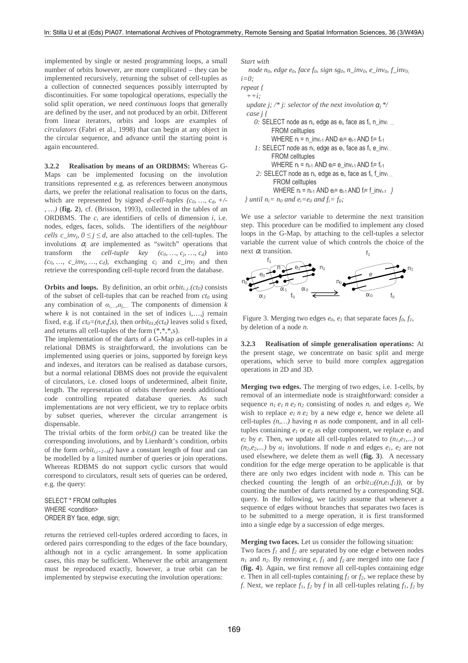implemented by single or nested programming loops, a small number of orbits however, are more complicated – they can be implemented recursively, returning the subset of cell-tuples as a collection of connected sequences possibly interrupted by discontinuities. For some topological operations, especially the solid split operation, we need *continuous loops* that generally are defined by the user, and not produced by an orbit. Different from linear iterators, orbits and loops are examples of *circulators* (Fabri et al., 1998) that can begin at any object in the circular sequence, and advance until the starting point is again encountered.

**3.2.2 Realisation by means of an ORDBMS:** Whereas G-Maps can be implemented focusing on the involution transitions represented e.g. as references between anonymous darts, we prefer the relational realisation to focus on the darts, which are represented by signed *d-cell-tuples (c0, …, cd, +/- , …)* (**fig. 2**), cf. (Brisson, 1993), collected in the tables of an ORDBMS. The  $c_i$  are identifiers of cells of dimension  $i$ , i.e. nodes, edges, faces, solids. The identifiers of the *neighbour cells*  $c\_inv_j$ ,  $0 \le j \le d$ , are also attached to the cell-tuples. The involutions  $\alpha_i$  are implemented as "switch" operations that transform the *cell-tuple key*  $(c_0, ..., c_i, ..., c_d)$  into  $(c_0, \ldots, c_{\text{in}} v_j, \ldots, c_d)$ , exchanging  $c_j$  and  $c_{\text{in}} v_j$  and then retrieve the corresponding cell-tuple record from the database.

**Orbits and loops.** By definition, an orbit *orbit<sub>i..j.</sub>* $(ct<sub>0</sub>)$  consists of the subset of cell-tuples that can be reached from *ct0* using any combination of  $\alpha_{i...}, \alpha_{j...}$  The components of dimension *k* where  $k$  is not contained in the set of indices  $i, \ldots, j$  remain fixed, e.g. if  $ct_0 = (n, e, f, s)$ , then  $orbit_{012}(ct_0)$  leaves solid s fixed, and returns all cell-tuples of the form (\*,\*,\*,s).

The implementation of the darts of a G-Map as cell-tuples in a relational DBMS is straightforward, the involutions can be implemented using queries or joins, supported by foreign keys and indexes, and iterators can be realised as database cursors, but a normal relational DBMS does not provide the equivalent of circulators, i.e. closed loops of undetermined, albeit finite, length. The representation of orbits therefore needs additional code controlling repeated database queries. As such implementations are not very efficient, we try to replace orbits by subset queries, wherever the circular arrangement is dispensable.

The trivial orbits of the form  $orbit<sub>i</sub>(t)$  can be treated like the corresponding involutions, and by Lienhardt's condition, orbits of the form  $orbit_{i,i+2+k}$ () have a constant length of four and can be modelled by a limited number of queries or join operations. Whereas RDBMS do not support cyclic cursors that would correspond to circulators, result sets of queries can be ordered, e.g. the query:

SELECT \* FROM celltuples WHERE <condition> ORDER BY face, edge, sign;

returns the retrieved cell-tuples ordered according to faces, in ordered pairs corresponding to the edges of the face boundary, although not in a cyclic arrangement. In some application cases, this may be sufficient. Whenever the orbit arrangement must be reproduced exactly, however, a true orbit can be implemented by stepwise executing the involution operations:

*Start with* 

 *node n0, edge e0, face f0, sign sg0, n\_inv0, e\_inv0, f\_inv0;*  $i = 0$ 

```
repeat { 
   ++i; update j; /* j: selector of the next involution α
j*/
   case j { 
       0: SELECT node as ni, edge as ei, face as fi, n_invi …
                FROM celltuples 
               WHERE n_i = n inv<sub>i-1</sub> AND e_i = e_{i-1} AND f_i = f_{i-1}1: SELECT node as n<sub>i</sub>, edge as e<sub>i</sub>, face as f<sub>i</sub>, e_inv<sub>i…</sub>
                FROM celltuples 
               WHERE n_i = n_{i-1} AND e_i = e_{i} inv<sub>i-1</sub> AND f_i = f_{i-1} 2: SELECT node as ni, edge as ei, face as fi, f_invi … 
                 FROM celltuples 
                WHERE n_i = n_{i-1} AND e_i = e_{i-1} AND f_i = f_{\text{in}} + \frac{1}{2}} until n_i = n_0 and e_i = e_0 and f_i = f_0;
```
We use a *selector* variable to determine the next transition step. This procedure can be modified to implement any closed loops in the G-Map, by attaching to the cell-tuples a selector variable the current value of which controls the choice of the next <sup>α</sup>*i* transition.  $f<sub>1</sub>$ 



Figure 3. Merging two edges  $e_0$ ,  $e_1$  that separate faces  $f_0$ ,  $f_1$ , by deletion of a node *n*.

**3.2.3 Realisation of simple generalisation operations:** At the present stage, we concentrate on basic split and merge operations, which serve to build more complex aggregation operations in 2D and 3D.

**Merging two edges.** The merging of two edges, i.e. 1-cells, by removal of an intermediate node is straightforward: consider a sequence  $n_1 e_1 n_2 n_2$  consisting of nodes  $n_i$  and edges  $e_i$ . We wish to replace  $e_1$  *n*  $e_2$  by a new edge  $e$ , hence we delete all cell-tuples *(n,…)* having *n* as node component, and in all celltuples containing  $e_1$  or  $e_2$  as edge component, we replace  $e_1$  and  $e_2$  by *e*. Then, we update all cell-tuples related to  $(n_1, e_1, \ldots)$  or  $(n_2, e_2,...)$  by  $\alpha_1$  involutions. If node *n* and edges  $e_1$ ,  $e_2$  are not used elsewhere, we delete them as well (**fig. 3**). A necessary condition for the edge merge operation to be applicable is that there are only two edges incident with node *n*. This can be checked counting the length of an  $orbit_{12}((n, e<sub>1</sub>, f<sub>1</sub>))$ , or by counting the number of darts returned by a corresponding SQL query. In the following, we tacitly assume that whenever a sequence of edges without branches that separates two faces is to be submitted to a merge operation, it is first transformed into a single edge by a succession of edge merges.

**Merging two faces.** Let us consider the following situation:

Two faces *f1* and *f2* are separated by one edge *e* between nodes  $n_1$  and  $n_2$ . By removing *e*,  $f_1$  and  $f_2$  are merged into one face *f* (**fig. 4**). Again, we first remove all cell-tuples containing edge *e*. Then in all cell-tuples containing *f1* or *f2*, we replace these by *f*. Next, we replace  $f_1, f_2$  by *f* in all cell-tuples relating  $f_1, f_2$  by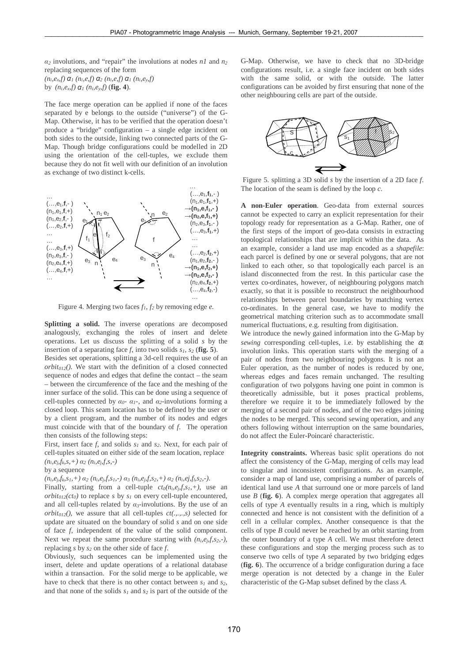$\alpha_2$  involutions, and "repair" the involutions at nodes *n1* and  $n_2$ replacing sequences of the form *(ni,ex,f)* <sup>α</sup> *1 (ni,e,f)* <sup>α</sup> *2 (ni,e,f)* <sup>α</sup> *<sup>1</sup> (ni,ey,f)* by  $(n_i, e_x, f) \, \alpha_1 \, (n_i, e_y, f) \, (\text{fig. 4}).$ 

The face merge operation can be applied if none of the faces separated by e belongs to the outside ("universe") of the G-Map. Otherwise, it has to be verified that the operation doesn't produce a "bridge" configuration – a single edge incident on both sides to the outside, linking two connected parts of the G-Map. Though bridge configurations could be modelled in 2D using the orientation of the cell-tuples, we exclude them because they do not fit well with our definition of an involution as exchange of two distinct k-cells.



Figure 4. Merging two faces *f1*, *f2* by removing edge *e*.

**Splitting a solid.** The inverse operations are decomposed analogously, exchanging the roles of insert and delete operations. Let us discuss the splitting of a solid *s* by the insertion of a separating face *f*, into two solids  $s_1$ ,  $s_2$  (**fig. 5**). Besides set operations, splitting a 3d-cell requires the use of an  $orbit<sub>012</sub>$ <sup> $\ell$ </sup>). We start with the definition of a closed connected sequence of nodes and edges that define the contact – the seam – between the circumference of the face and the meshing of the inner surface of the solid. This can be done using a sequence of cell-tuples connected by  $\alpha_0$ -  $\alpha_1$ -, and  $\alpha_2$ -involutions forming a closed loop. This seam location has to be defined by the user or by a client program, and the number of its nodes and edges must coincide with that of the boundary of *f*. The operation

then consists of the following steps: First, insert face *f*, and solids *s1* and *s2*. Next, for each pair of cell-tuples situated on either side of the seam location, replace  $(n_i, e_i, f_k, s, +) \alpha_2 (n_i, e_i, f, s, -)$ 

#### by a sequence

 $(n_i, e_{i}f_k, s_1, +) \alpha_2 (n_i, e_{i}f, s_1, -) \alpha_3 (n_i, e_{i}f, s_2, +) \alpha_2 (n_i, e_{i}f_{i}s_2, -).$ 

Finally, starting from a cell-tuple  $ct_0(n_i, e_i, f, s_i, +)$ , use an *orbit<sub>012</sub>*(*ct<sub>0</sub>*) to replace *s* by  $s<sub>1</sub>$  on every cell-tuple encountered, and all cell-tuples related by  $\alpha_3$ -involutions. By the use of an *orbit<sub>012</sub>* $($ , we assure that all cell-tuples  $ct($ ....,s) selected for update are situated on the boundary of solid *s* and on one side of face *f*, independent of the value of the solid component. Next we repeat the same procedure starting with  $(n_i, e_i, f, s_2, -)$ , replacing *s* by *s2* on the other side of face *f*.

Obviously, such sequences can be implemented using the insert, delete and update operations of a relational database within a transaction. For the solid merge to be applicable, we have to check that there is no other contact between  $s<sub>l</sub>$  and  $s<sub>2</sub>$ , and that none of the solids *s1* and *s2* is part of the outside of the G-Map. Otherwise, we have to check that no 3D-bridge configurations result, i.e. a single face incident on both sides with the same solid, or with the outside. The latter configurations can be avoided by first ensuring that none of the other neighbouring cells are part of the outside.



 Figure 5. splitting a 3D solid *s* by the insertion of a 2D face *f*. The location of the seam is defined by the loop *c*.

**A non-Euler operation**. Geo-data from external sources cannot be expected to carry an explicit representation for their topology ready for representation as a G-Map. Rather, one of the first steps of the import of geo-data consists in extracting topological relationships that are implicit within the data. As an example, consider a land use map encoded as a *shapefile*: each parcel is defined by one or several polygons, that are not linked to each other, so that topologically each parcel is an island disconnected from the rest. In this particular case the vertex co-ordinates, however, of neighbouring polygons match exactly, so that it is possible to reconstruct the neighbourhood relationships between parcel boundaries by matching vertex co-ordinates. In the general case, we have to modify the geometrical matching criterion such as to accommodate small numerical fluctuations, e.g. resulting from digitisation.

We introduce the newly gained information into the G-Map by *sewing* corresponding cell-tuples, i.e. by establishing the  $\alpha_i$ involution links. This operation starts with the merging of a pair of nodes from two neighbouring polygons. It is not an Euler operation, as the number of nodes is reduced by one, whereas edges and faces remain unchanged. The resulting configuration of two polygons having one point in common is theoretically admissible, but it poses practical problems, therefore we require it to be immediately followed by the merging of a second pair of nodes, and of the two edges joining the nodes to be merged. This second sewing operation, and any others following without interruption on the same boundaries, do not affect the Euler-Poincaré characteristic.

**Integrity constraints.** Whereas basic split operations do not affect the consistency of the G-Map, merging of cells may lead to singular and inconsistent configurations. As an example, consider a map of land use, comprising a number of parcels of identical land use *A* that surround one or more parcels of land use *B* (**fig. 6**). A complex merge operation that aggregates all cells of type *A* eventually results in a ring, which is multiply connected and hence is not consistent with the definition of a cell in a cellular complex. Another consequence is that the cells of type *B* could never be reached by an orbit starting from the outer boundary of a type *A* cell. We must therefore detect these configurations and stop the merging process such as to conserve two cells of type *A* separated by two bridging edges (**fig. 6**). The occurrence of a bridge configuration during a face merge operation is not detected by a change in the Euler characteristic of the G-Map subset defined by the class *A*.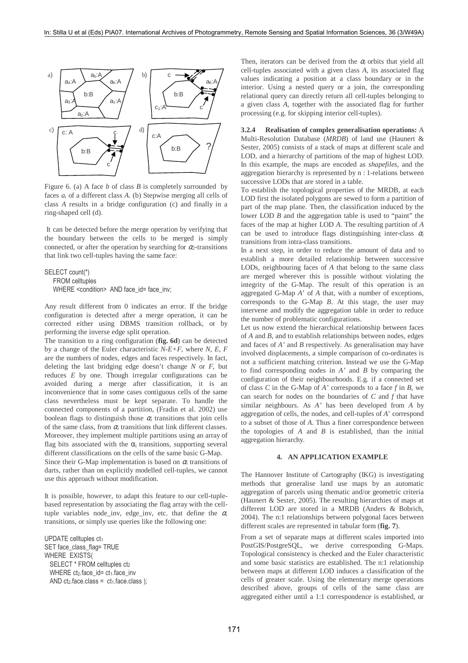

Figure 6. (a) A face *b* of class *B* is completely surrounded by faces *ai* of a different class *A*. (b) Stepwise merging all cells of class *A* results in a bridge configuration (c) and finally in a ring-shaped cell (d).

 It can be detected before the merge operation by verifying that the boundary between the cells to be merged is simply connected, or after the operation by searching for  $\alpha$ -transitions that link two cell-tuples having the same face:

```
SELECT count(*) 
    FROM celltuples 
   WHERE <condition> AND face id= face inv;
```
Any result different from 0 indicates an error. If the bridge configuration is detected after a merge operation, it can be corrected either using DBMS transition rollback, or by performing the inverse edge split operation.

The transition to a ring configuration (**fig. 6d**) can be detected by a change of the Euler characteristic *N-E+F*, where *N*, *E*, *F* are the numbers of nodes, edges and faces respectively. In fact, deleting the last bridging edge doesn't change *N* or *F*, but reduces *E* by one. Though irregular configurations can be avoided during a merge after classification, it is an inconvenience that in some cases contiguous cells of the same class nevertheless must be kept separate. To handle the connected components of a partition, (Fradin et al. 2002) use boolean flags to distinguish those  $\alpha_i$  transitions that join cells of the same class, from  $\alpha$  transitions that link different classes. Moreover, they implement multiple partitions using an array of flag bits associated with the  $\alpha_i$  transitions, supporting several different classifications on the cells of the same basic G-Map. Since their G-Map implementation is based on <sup>α</sup>*i* transitions of darts, rather than on explicitly modelled cell-tuples, we cannot use this approach without modification.

It is possible, however, to adapt this feature to our cell-tuplebased representation by associating the flag array with the celltuple variables node inv, edge inv, etc. that define the  $\alpha$ <sup>*i*</sup> transitions, or simply use queries like the following one:

UPDATE celltuples ct1 SET face\_class\_flag= TRUE WHERE EXISTS( SELECT \* FROM celltuples ct2 WHERE  $ct_2$  face  $id = ct_1$  face inv AND ct<sub>2</sub>.face.class =  $ct_1$ .face.class ); Then, iterators can be derived from the  $\alpha_i$  orbits that yield all cell-tuples associated with a given class *A*, its associated flag values indicating a position at a class boundary or in the interior. Using a nested query or a join, the corresponding relational query can directly return all cell-tuples belonging to a given class *A*, together with the associated flag for further processing (e.g. for skipping interior cell-tuples).

**3.2.4 Realisation of complex generalisation operations:** A Multi-Resolution Database (*MRDB*) of land use (Haunert & Sester, 2005) consists of a stack of maps at different scale and LOD, and a hierarchy of partitions of the map of highest LOD. In this example, the maps are encoded as *shapefiles*, and the aggregation hierarchy is represented by n : 1-relations between successive LODs that are stored in a table.

To establish the topological properties of the MRDB, at each LOD first the isolated polygons are sewed to form a partition of part of the map plane. Then, the classification induced by the lower LOD *B* and the aggregation table is used to "paint" the faces of the map at higher LOD *A*. The resulting partition of *A* can be used to introduce flags distinguishing inter-class <sup>α</sup>*<sup>i</sup>* transitions from intra-class transitions.

In a next step, in order to reduce the amount of data and to establish a more detailed relationship between successive LODs, neighbouring faces of *A* that belong to the same class are merged wherever this is possible without violating the integrity of the G-Map. The result of this operation is an aggregated G-Map *A*' of *A* that, with a number of exceptions, corresponds to the G-Map *B*. At this stage, the user may intervene and modify the aggregation table in order to reduce the number of problematic configurations.

Let us now extend the hierarchical relationship between faces of *A* and *B,* and to establish relationships between nodes, edges and faces of *A'* and *B* respectively. As generalisation may have involved displacements, a simple comparison of co-ordinates is not a sufficient matching criterion. Instead we use the G-Map to find corresponding nodes in *A'* and *B* by comparing the configuration of their neighbourhoods. E.g. if a connected set of class *C* in the G-Map of *A'* corresponds to a face *f* in *B*, we can search for nodes on the boundaries of *C* and *f* that have similar neighbours. As *A'* has been developed from *A* by aggregation of cells, the nodes, and cell-tuples of *A*' correspond to a subset of those of *A*. Thus a finer correspondence between the topologies of *A* and *B* is established, than the initial aggregation hierarchy.

### **4. AN APPLICATION EXAMPLE**

The Hannover Institute of Cartography (IKG) is investigating methods that generalise land use maps by an automatic aggregation of parcels using thematic and/or geometric criteria (Haunert & Sester, 2005). The resulting hierarchies of maps at different LOD are stored in a MRDB (Anders & Bobrich, 2004). The n:1 relationships between polygonal faces between different scales are represented in tabular form (**fig. 7**).

From a set of separate maps at different scales imported into PostGIS/PostgreSQL, we derive corresponding G-Maps. Topological consistency is checked and the Euler characteristic and some basic statistics are established. The n:1 relationship between maps at different LOD induces a classification of the cells of greater scale. Using the elementary merge operations described above, groups of cells of the same class are aggregated either until a 1:1 correspondence is established, or